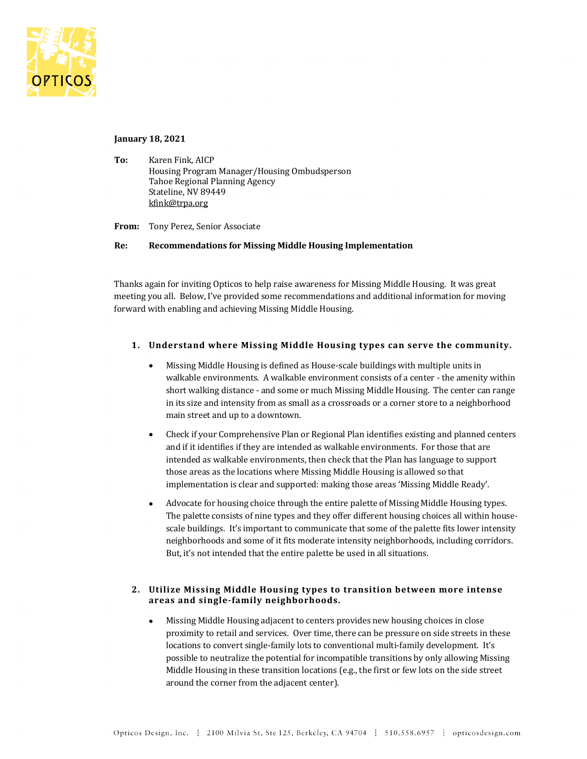

#### **January 18, 2021**

To: Karen Fink, AICP Housing Program Manager/Housing Ombudsperson Tahoe Regional Planning Agency Stateline, NV 89449 kfink@trpa.org

From: Tony Perez, Senior Associate

#### **Re: Recommendations for Missing Middle Housing Implementation**

Thanks again for inviting Opticos to help raise awareness for Missing Middle Housing. It was great meeting you all. Below, I've provided some recommendations and additional information for moving forward with enabling and achieving Missing Middle Housing.

# **1.** Understand where Missing Middle Housing types can serve the community.

- Missing Middle Housing is defined as House-scale buildings with multiple units in walkable environments. A walkable environment consists of a center - the amenity within short walking distance - and some or much Missing Middle Housing. The center can range in its size and intensity from as small as a crossroads or a corner store to a neighborhood main street and up to a downtown.
- Check if your Comprehensive Plan or Regional Plan identifies existing and planned centers and if it identifies if they are intended as walkable environments. For those that are intended as walkable environments, then check that the Plan has language to support those areas as the locations where Missing Middle Housing is allowed so that implementation is clear and supported: making those areas 'Missing Middle Ready'.
- Advocate for housing choice through the entire palette of Missing Middle Housing types. The palette consists of nine types and they offer different housing choices all within housescale buildings. It's important to communicate that some of the palette fits lower intensity neighborhoods and some of it fits moderate intensity neighborhoods, including corridors. But, it's not intended that the entire palette be used in all situations.

# 2. Utilize Missing Middle Housing types to transition between more intense **areas and single-family neighborhoods.**

Missing Middle Housing adjacent to centers provides new housing choices in close proximity to retail and services. Over time, there can be pressure on side streets in these locations to convert single-family lots to conventional multi-family development. It's possible to neutralize the potential for incompatible transitions by only allowing Missing Middle Housing in these transition locations (e.g., the first or few lots on the side street around the corner from the adjacent center).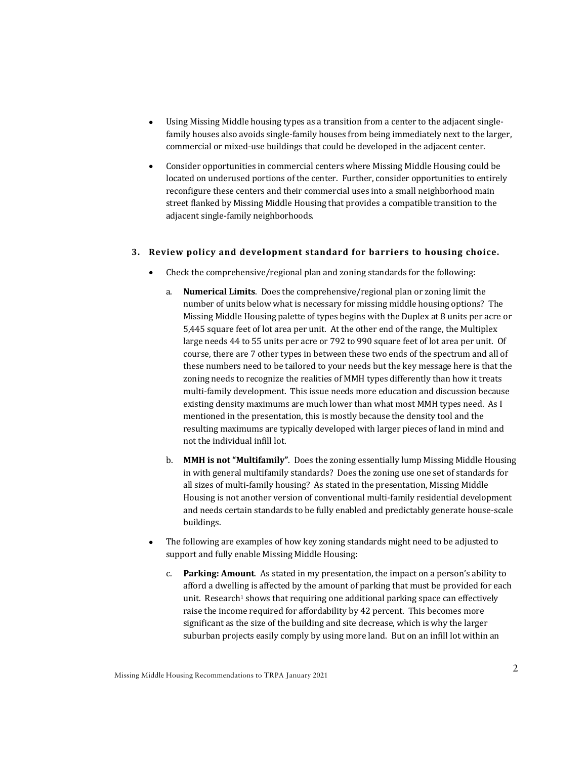- Using Missing Middle housing types as a transition from a center to the adjacent singlefamily houses also avoids single-family houses from being immediately next to the larger, commercial or mixed-use buildings that could be developed in the adjacent center.
- Consider opportunities in commercial centers where Missing Middle Housing could be located on underused portions of the center. Further, consider opportunities to entirely reconfigure these centers and their commercial uses into a small neighborhood main street flanked by Missing Middle Housing that provides a compatible transition to the adjacent single-family neighborhoods.

# **3. Review policy and development standard for barriers to housing choice.**

- Check the comprehensive/regional plan and zoning standards for the following:
	- a. **Numerical Limits**. Does the comprehensive/regional plan or zoning limit the number of units below what is necessary for missing middle housing options? The Missing Middle Housing palette of types begins with the Duplex at 8 units per acre or 5.445 square feet of lot area per unit. At the other end of the range, the Multiplex large needs 44 to 55 units per acre or 792 to 990 square feet of lot area per unit. Of course, there are 7 other types in between these two ends of the spectrum and all of these numbers need to be tailored to your needs but the key message here is that the zoning needs to recognize the realities of MMH types differently than how it treats multi-family development. This issue needs more education and discussion because existing density maximums are much lower than what most MMH types need. As I mentioned in the presentation, this is mostly because the density tool and the resulting maximums are typically developed with larger pieces of land in mind and not the individual infill lot.
	- b. **MMH** is not "Multifamily". Does the zoning essentially lump Missing Middle Housing in with general multifamily standards? Does the zoning use one set of standards for all sizes of multi-family housing? As stated in the presentation, Missing Middle Housing is not another version of conventional multi-family residential development and needs certain standards to be fully enabled and predictably generate house-scale buildings.
- The following are examples of how key zoning standards might need to be adjusted to support and fully enable Missing Middle Housing:
	- c. **Parking: Amount**. As stated in my presentation, the impact on a person's ability to afford a dwelling is affected by the amount of parking that must be provided for each unit. Research<sup>1</sup> shows that requiring one additional parking space can effectively raise the income required for affordability by 42 percent. This becomes more significant as the size of the building and site decrease, which is why the larger suburban projects easily comply by using more land. But on an infill lot within an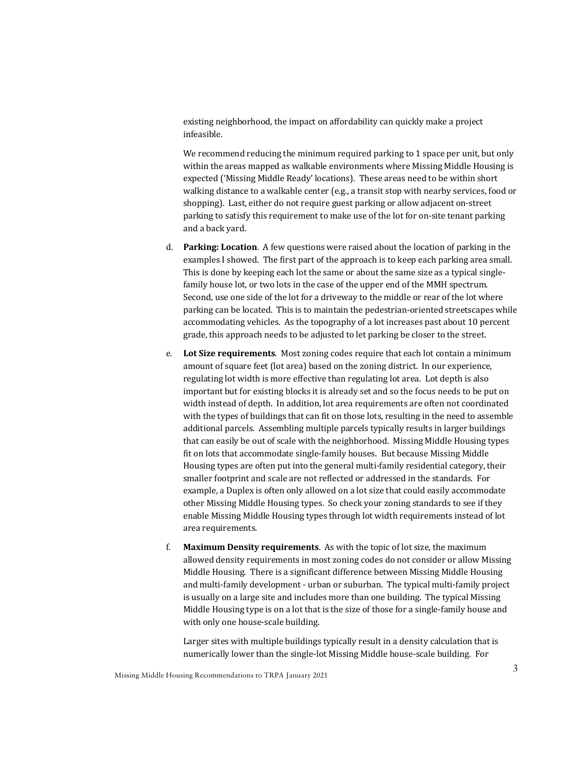existing neighborhood, the impact on affordability can quickly make a project infeasible. 

We recommend reducing the minimum required parking to 1 space per unit, but only within the areas mapped as walkable environments where Missing Middle Housing is expected ('Missing Middle Ready' locations). These areas need to be within short walking distance to a walkable center  $(e.g., a$  transit stop with nearby services, food or shopping). Last, either do not require guest parking or allow adjacent on-street parking to satisfy this requirement to make use of the lot for on-site tenant parking and a back yard.

- d. **Parking: Location**. A few questions were raised about the location of parking in the examples I showed. The first part of the approach is to keep each parking area small. This is done by keeping each lot the same or about the same size as a typical singlefamily house lot, or two lots in the case of the upper end of the MMH spectrum. Second, use one side of the lot for a driveway to the middle or rear of the lot where parking can be located. This is to maintain the pedestrian-oriented streetscapes while accommodating vehicles. As the topography of a lot increases past about 10 percent grade, this approach needs to be adjusted to let parking be closer to the street.
- e. Lot Size requirements. Most zoning codes require that each lot contain a minimum amount of square feet (lot area) based on the zoning district. In our experience, regulating lot width is more effective than regulating lot area. Lot depth is also important but for existing blocks it is already set and so the focus needs to be put on width instead of depth. In addition, lot area requirements are often not coordinated with the types of buildings that can fit on those lots, resulting in the need to assemble additional parcels. Assembling multiple parcels typically results in larger buildings that can easily be out of scale with the neighborhood. Missing Middle Housing types fit on lots that accommodate single-family houses. But because Missing Middle Housing types are often put into the general multi-family residential category, their smaller footprint and scale are not reflected or addressed in the standards. For example, a Duplex is often only allowed on a lot size that could easily accommodate other Missing Middle Housing types. So check your zoning standards to see if they enable Missing Middle Housing types through lot width requirements instead of lot area requirements.
- f. **Maximum Density requirements**. As with the topic of lot size, the maximum allowed density requirements in most zoning codes do not consider or allow Missing Middle Housing. There is a significant difference between Missing Middle Housing and multi-family development - urban or suburban. The typical multi-family project is usually on a large site and includes more than one building. The typical Missing Middle Housing type is on a lot that is the size of those for a single-family house and with only one house-scale building.

Larger sites with multiple buildings typically result in a density calculation that is numerically lower than the single-lot Missing Middle house-scale building. For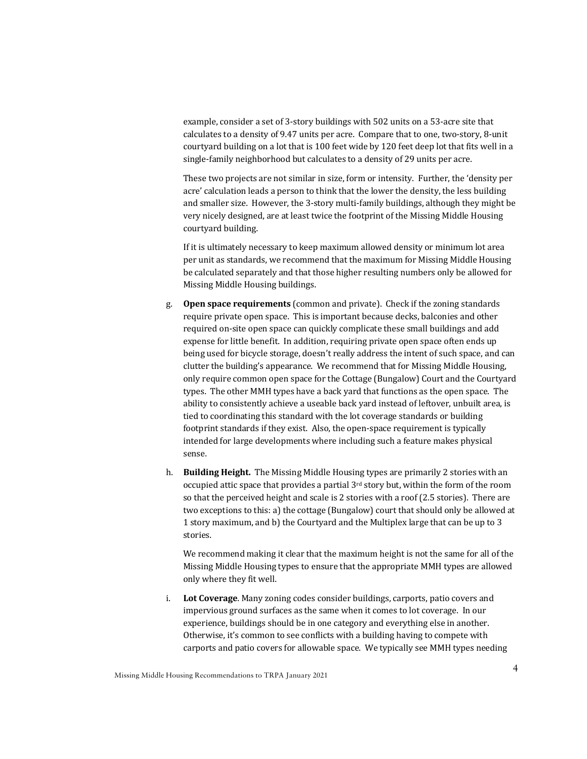example, consider a set of 3-story buildings with 502 units on a 53-acre site that calculates to a density of 9.47 units per acre. Compare that to one, two-story, 8-unit courtyard building on a lot that is 100 feet wide by 120 feet deep lot that fits well in a single-family neighborhood but calculates to a density of 29 units per acre.

These two projects are not similar in size, form or intensity. Further, the 'density per acre' calculation leads a person to think that the lower the density, the less building and smaller size. However, the 3-story multi-family buildings, although they might be very nicely designed, are at least twice the footprint of the Missing Middle Housing courtyard building.

If it is ultimately necessary to keep maximum allowed density or minimum lot area per unit as standards, we recommend that the maximum for Missing Middle Housing be calculated separately and that those higher resulting numbers only be allowed for Missing Middle Housing buildings.

- g. **Open space requirements** (common and private). Check if the zoning standards require private open space. This is important because decks, balconies and other required on-site open space can quickly complicate these small buildings and add expense for little benefit. In addition, requiring private open space often ends up being used for bicycle storage, doesn't really address the intent of such space, and can clutter the building's appearance. We recommend that for Missing Middle Housing, only require common open space for the Cottage (Bungalow) Court and the Courtyard types. The other MMH types have a back yard that functions as the open space. The ability to consistently achieve a useable back yard instead of leftover, unbuilt area, is tied to coordinating this standard with the lot coverage standards or building footprint standards if they exist. Also, the open-space requirement is typically intended for large developments where including such a feature makes physical sense.
- h. **Building Height.** The Missing Middle Housing types are primarily 2 stories with an occupied attic space that provides a partial 3<sup>rd</sup> story but, within the form of the room so that the perceived height and scale is 2 stories with a roof (2.5 stories). There are two exceptions to this: a) the cottage (Bungalow) court that should only be allowed at 1 story maximum, and b) the Courtyard and the Multiplex large that can be up to 3 stories.

We recommend making it clear that the maximum height is not the same for all of the Missing Middle Housing types to ensure that the appropriate MMH types are allowed only where they fit well.

i. Lot Coverage. Many zoning codes consider buildings, carports, patio covers and impervious ground surfaces as the same when it comes to lot coverage. In our experience, buildings should be in one category and everything else in another. Otherwise, it's common to see conflicts with a building having to compete with carports and patio covers for allowable space. We typically see MMH types needing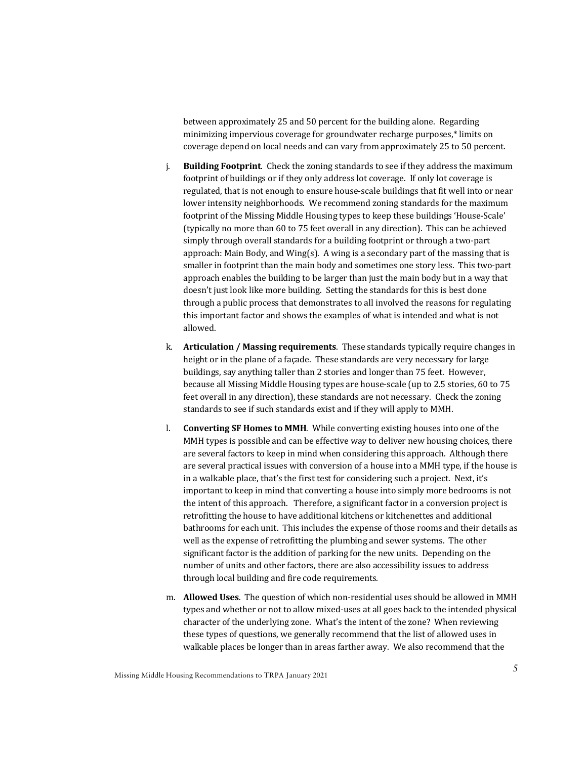between approximately 25 and 50 percent for the building alone. Regarding minimizing impervious coverage for groundwater recharge purposes,\* limits on coverage depend on local needs and can vary from approximately 25 to 50 percent.

- j. **Building Footprint**. Check the zoning standards to see if they address the maximum footprint of buildings or if they only address lot coverage. If only lot coverage is regulated, that is not enough to ensure house-scale buildings that fit well into or near lower intensity neighborhoods. We recommend zoning standards for the maximum footprint of the Missing Middle Housing types to keep these buildings 'House-Scale' (typically no more than 60 to 75 feet overall in any direction). This can be achieved simply through overall standards for a building footprint or through a two-part approach: Main Body, and Wing(s). A wing is a secondary part of the massing that is smaller in footprint than the main body and sometimes one story less. This two-part approach enables the building to be larger than just the main body but in a way that doesn't just look like more building. Setting the standards for this is best done through a public process that demonstrates to all involved the reasons for regulating this important factor and shows the examples of what is intended and what is not allowed.
- k. **Articulation / Massing requirements**. These standards typically require changes in height or in the plane of a facade. These standards are very necessary for large buildings, say anything taller than 2 stories and longer than 75 feet. However, because all Missing Middle Housing types are house-scale (up to 2.5 stories, 60 to 75 feet overall in any direction), these standards are not necessary. Check the zoning standards to see if such standards exist and if they will apply to MMH.
- l. **Converting SF Homes to MMH**. While converting existing houses into one of the MMH types is possible and can be effective way to deliver new housing choices, there are several factors to keep in mind when considering this approach. Although there are several practical issues with conversion of a house into a MMH type, if the house is in a walkable place, that's the first test for considering such a project. Next, it's important to keep in mind that converting a house into simply more bedrooms is not the intent of this approach. Therefore, a significant factor in a conversion project is retrofitting the house to have additional kitchens or kitchenettes and additional bathrooms for each unit. This includes the expense of those rooms and their details as well as the expense of retrofitting the plumbing and sewer systems. The other significant factor is the addition of parking for the new units. Depending on the number of units and other factors, there are also accessibility issues to address through local building and fire code requirements.
- m. **Allowed Uses**. The question of which non-residential uses should be allowed in MMH types and whether or not to allow mixed-uses at all goes back to the intended physical character of the underlying zone. What's the intent of the zone? When reviewing these types of questions, we generally recommend that the list of allowed uses in walkable places be longer than in areas farther away. We also recommend that the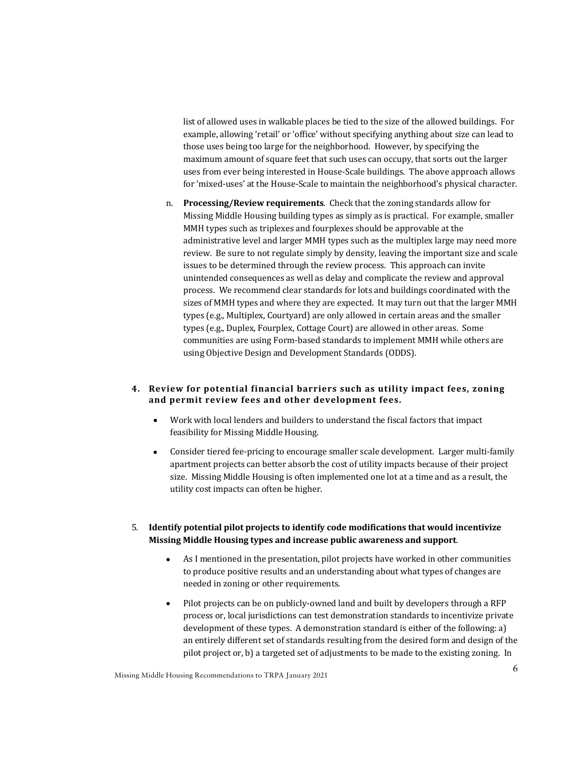list of allowed uses in walkable places be tied to the size of the allowed buildings. For example, allowing 'retail' or 'office' without specifying anything about size can lead to those uses being too large for the neighborhood. However, by specifying the maximum amount of square feet that such uses can occupy, that sorts out the larger uses from ever being interested in House-Scale buildings. The above approach allows for 'mixed-uses' at the House-Scale to maintain the neighborhood's physical character.

n. **Processing/Review requirements**. Check that the zoning standards allow for Missing Middle Housing building types as simply as is practical. For example, smaller MMH types such as triplexes and fourplexes should be approvable at the administrative level and larger MMH types such as the multiplex large may need more review. Be sure to not regulate simply by density, leaving the important size and scale issues to be determined through the review process. This approach can invite unintended consequences as well as delay and complicate the review and approval process. We recommend clear standards for lots and buildings coordinated with the sizes of MMH types and where they are expected. It may turn out that the larger MMH types (e.g., Multiplex, Courtyard) are only allowed in certain areas and the smaller types (e.g., Duplex, Fourplex, Cottage Court) are allowed in other areas. Some communities are using Form-based standards to implement MMH while others are using Objective Design and Development Standards (ODDS).

## **4. Review for potential financial barriers such as utility impact fees, zoning**  and permit review fees and other development fees.

- Work with local lenders and builders to understand the fiscal factors that impact feasibility for Missing Middle Housing.
- Consider tiered fee-pricing to encourage smaller scale development. Larger multi-family apartment projects can better absorb the cost of utility impacts because of their project size. Missing Middle Housing is often implemented one lot at a time and as a result, the utility cost impacts can often be higher.

# 5. Identify potential pilot projects to identify code modifications that would incentivize **Missing Middle Housing types and increase public awareness and support**.

- As I mentioned in the presentation, pilot projects have worked in other communities to produce positive results and an understanding about what types of changes are needed in zoning or other requirements.
- Pilot projects can be on publicly-owned land and built by developers through a RFP process or, local jurisdictions can test demonstration standards to incentivize private development of these types. A demonstration standard is either of the following: a) an entirely different set of standards resulting from the desired form and design of the pilot project or, b) a targeted set of adjustments to be made to the existing zoning. In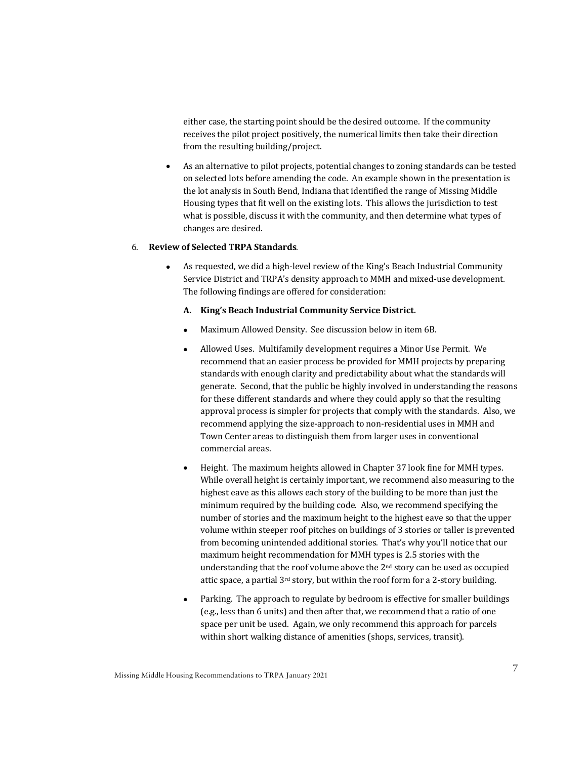either case, the starting point should be the desired outcome. If the community receives the pilot project positively, the numerical limits then take their direction from the resulting building/project.

• As an alternative to pilot projects, potential changes to zoning standards can be tested on selected lots before amending the code. An example shown in the presentation is the lot analysis in South Bend, Indiana that identified the range of Missing Middle Housing types that fit well on the existing lots. This allows the jurisdiction to test what is possible, discuss it with the community, and then determine what types of changes are desired.

### 6. **Review of Selected TRPA Standards**.

• As requested, we did a high-level review of the King's Beach Industrial Community Service District and TRPA's density approach to MMH and mixed-use development. The following findings are offered for consideration:

#### A. King's Beach Industrial Community Service District.

- Maximum Allowed Density. See discussion below in item 6B.
- Allowed Uses. Multifamily development requires a Minor Use Permit. We recommend that an easier process be provided for MMH projects by preparing standards with enough clarity and predictability about what the standards will generate. Second, that the public be highly involved in understanding the reasons for these different standards and where they could apply so that the resulting approval process is simpler for projects that comply with the standards. Also, we recommend applying the size-approach to non-residential uses in MMH and Town Center areas to distinguish them from larger uses in conventional commercial areas.
- Height. The maximum heights allowed in Chapter 37 look fine for MMH types. While overall height is certainly important, we recommend also measuring to the highest eave as this allows each story of the building to be more than just the minimum required by the building code. Also, we recommend specifying the number of stories and the maximum height to the highest eave so that the upper volume within steeper roof pitches on buildings of 3 stories or taller is prevented from becoming unintended additional stories. That's why you'll notice that our maximum height recommendation for MMH types is 2.5 stories with the understanding that the roof volume above the  $2<sup>nd</sup>$  story can be used as occupied attic space, a partial  $3^{rd}$  story, but within the roof form for a 2-story building.
- Parking. The approach to regulate by bedroom is effective for smaller buildings (e.g., less than 6 units) and then after that, we recommend that a ratio of one space per unit be used. Again, we only recommend this approach for parcels within short walking distance of amenities (shops, services, transit).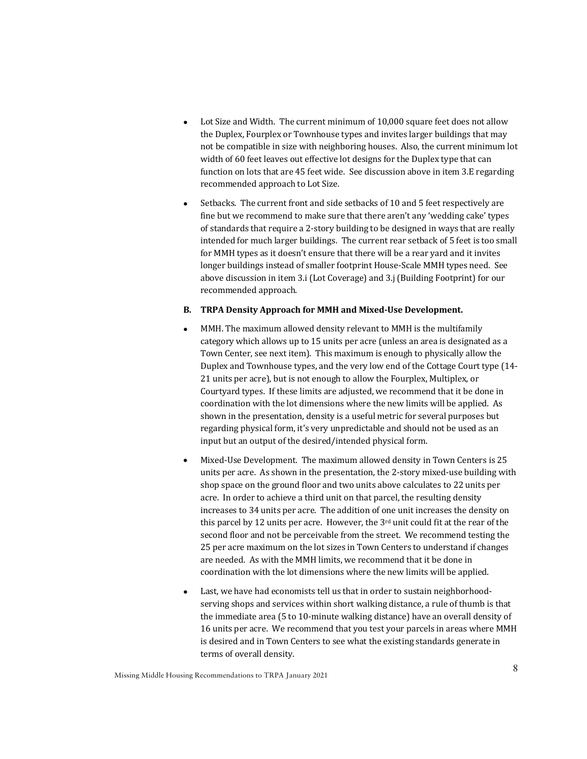- Lot Size and Width. The current minimum of 10,000 square feet does not allow the Duplex, Fourplex or Townhouse types and invites larger buildings that may not be compatible in size with neighboring houses. Also, the current minimum lot width of 60 feet leaves out effective lot designs for the Duplex type that can function on lots that are  $45$  feet wide. See discussion above in item  $3.E$  regarding recommended approach to Lot Size.
- Setbacks. The current front and side setbacks of 10 and 5 feet respectively are fine but we recommend to make sure that there aren't any 'wedding cake' types of standards that require a 2-story building to be designed in ways that are really intended for much larger buildings. The current rear setback of 5 feet is too small for MMH types as it doesn't ensure that there will be a rear yard and it invites longer buildings instead of smaller footprint House-Scale MMH types need. See above discussion in item 3.i (Lot Coverage) and 3.j (Building Footprint) for our recommended approach.

#### **B.** TRPA Density Approach for MMH and Mixed-Use Development.

- MMH. The maximum allowed density relevant to MMH is the multifamily category which allows up to 15 units per acre (unless an area is designated as a Town Center, see next item). This maximum is enough to physically allow the Duplex and Townhouse types, and the very low end of the Cottage Court type (14-21 units per acre), but is not enough to allow the Fourplex, Multiplex, or Courtyard types. If these limits are adjusted, we recommend that it be done in coordination with the lot dimensions where the new limits will be applied. As shown in the presentation, density is a useful metric for several purposes but regarding physical form, it's very unpredictable and should not be used as an input but an output of the desired/intended physical form.
- Mixed-Use Development. The maximum allowed density in Town Centers is 25 units per acre. As shown in the presentation, the 2-story mixed-use building with shop space on the ground floor and two units above calculates to 22 units per acre. In order to achieve a third unit on that parcel, the resulting density increases to 34 units per acre. The addition of one unit increases the density on this parcel by 12 units per acre. However, the  $3<sup>rd</sup>$  unit could fit at the rear of the second floor and not be perceivable from the street. We recommend testing the 25 per acre maximum on the lot sizes in Town Centers to understand if changes are needed. As with the MMH limits, we recommend that it be done in coordination with the lot dimensions where the new limits will be applied.
- Last, we have had economists tell us that in order to sustain neighborhoodserving shops and services within short walking distance, a rule of thumb is that the immediate area (5 to 10-minute walking distance) have an overall density of 16 units per acre. We recommend that you test your parcels in areas where MMH is desired and in Town Centers to see what the existing standards generate in terms of overall density.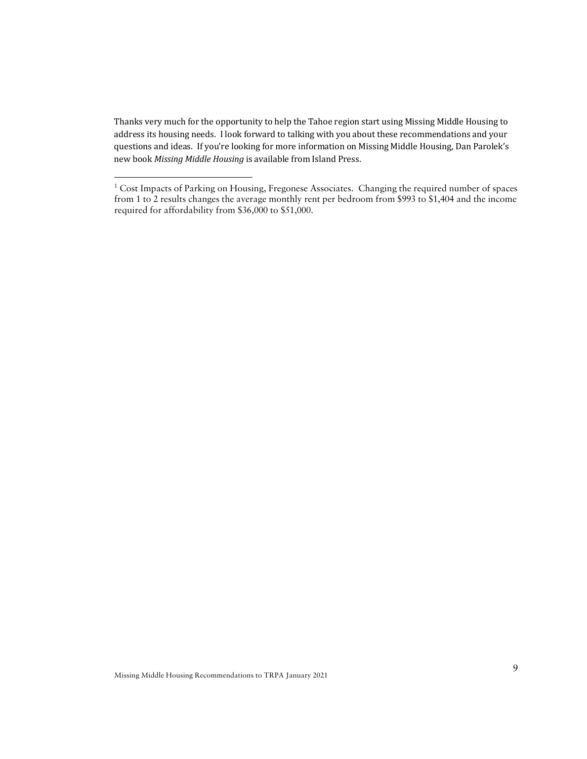Thanks very much for the opportunity to help the Tahoe region start using Missing Middle Housing to address its housing needs. I look forward to talking with you about these recommendations and your questions and ideas. If you're looking for more information on Missing Middle Housing, Dan Parolek's new book Missing Middle Housing is available from Island Press.

<sup>&</sup>lt;sup>1</sup> Cost Impacts of Parking on Housing, Fregonese Associates. Changing the required number of spaces from 1 to 2 results changes the average monthly rent per bedroom from \$993 to \$1,404 and the income required for affordability from \$36,000 to \$51,000.